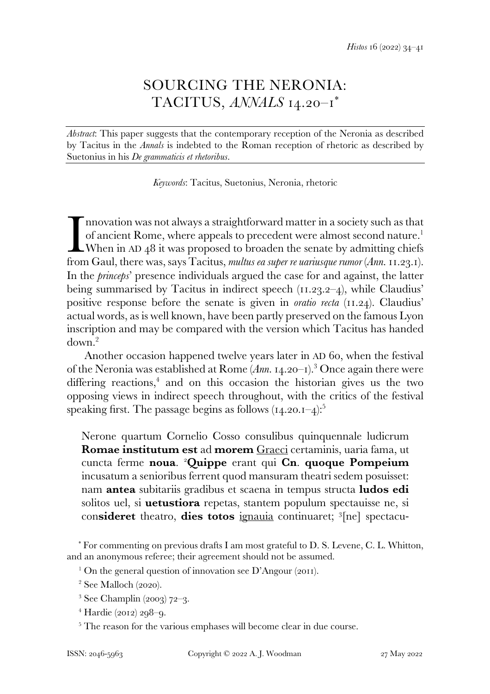## SOURCING THE NERONIA: TACITUS, *ANNALS* 14.20–1\*

*Abstract*: This paper suggests that the contemporary reception of the Neronia as described by Tacitus in the *Annals* is indebted to the Roman reception of rhetoric as described by Suetonius in his *De grammaticis et rhetoribus*.

*Keywords*: Tacitus, Suetonius, Neronia, rhetoric

nnovation was not always a straightforward matter in a society such as that of ancient Rome, where appeals to precedent were almost second nature.<sup>1</sup>  $\Box$  When in AD 48 it was proposed to broaden the senate by admitting chiefs Imovation was not always a straightforward matter in a society such as that of ancient Rome, where appeals to precedent were almost second nature.<sup>1</sup> When in AD 48 it was proposed to broaden the senate by admitting chiefs In the *princeps*' presence individuals argued the case for and against, the latter being summarised by Tacitus in indirect speech (11.23.2–4), while Claudius' positive response before the senate is given in *oratio recta* (11.24). Claudius' actual words, as is well known, have been partly preserved on the famous Lyon inscription and may be compared with the version which Tacitus has handed down.<sup>2</sup>

 Another occasion happened twelve years later in AD 60, when the festival of the Neronia was established at Rome (*Ann.* 14.20–1).<sup>3</sup> Once again there were differing reactions,<sup>4</sup> and on this occasion the historian gives us the two opposing views in indirect speech throughout, with the critics of the festival speaking first. The passage begins as follows  $(14.20.1-4)$ :<sup>5</sup>

Nerone quartum Cornelio Cosso consulibus quinquennale ludicrum **Romae institutum est** ad **morem** Graeci certaminis, uaria fama, ut cuncta ferme **noua**. <sup>2</sup>**Quippe** erant qui **Cn**. **quoque Pompeium** incusatum a senioribus ferrent quod mansuram theatri sedem posuisset: nam **antea** subitariis gradibus et scaena in tempus structa **ludos edi** solitos uel, si **uetustiora** repetas, stantem populum spectauisse ne, si con**sideret** theatro, **dies totos** ignauia continuaret; <sup>3</sup> [ne] spectacu-

\* For commenting on previous drafts I am most grateful to D. S. Levene, C. L. Whitton, and an anonymous referee; their agreement should not be assumed.

<sup>1</sup> On the general question of innovation see D'Angour (2011).

2 See Malloch (2020).

3 See Champlin (2003) 72–3.

4 Hardie (2012) 298–9.

<sup>5</sup> The reason for the various emphases will become clear in due course.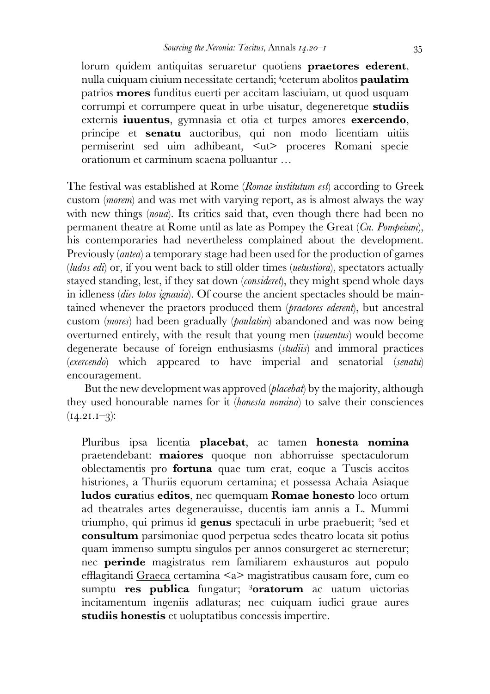lorum quidem antiquitas seruaretur quotiens **praetores ederent**, nulla cuiquam ciuium necessitate certandi; <sup>4</sup> ceterum abolitos **paulatim** patrios **mores** funditus euerti per accitam lasciuiam, ut quod usquam corrumpi et corrumpere queat in urbe uisatur, degeneretque **studiis** externis **iuuentus**, gymnasia et otia et turpes amores **exercendo**, principe et **senatu** auctoribus, qui non modo licentiam uitiis permiserint sed uim adhibeant, <ut> proceres Romani specie orationum et carminum scaena polluantur …

The festival was established at Rome (*Romae institutum est*) according to Greek custom (*morem*) and was met with varying report, as is almost always the way with new things *(noua)*. Its critics said that, even though there had been no permanent theatre at Rome until as late as Pompey the Great (*Cn. Pompeium*), his contemporaries had nevertheless complained about the development. Previously (*antea*) a temporary stage had been used for the production of games (*ludos edi*) or, if you went back to still older times (*uetustiora*), spectators actually stayed standing, lest, if they sat down (*consideret*), they might spend whole days in idleness (*dies totos ignauia*). Of course the ancient spectacles should be maintained whenever the praetors produced them (*praetores ederent*), but ancestral custom (*mores*) had been gradually (*paulatim*) abandoned and was now being overturned entirely, with the result that young men (*iuuentus*) would become degenerate because of foreign enthusiasms (*studiis*) and immoral practices (*exercendo*) which appeared to have imperial and senatorial (*senatu*) encouragement.

 But the new development was approved (*placebat*) by the majority, although they used honourable names for it (*honesta nomina*) to salve their consciences  $(14.21.1-3)$ :

Pluribus ipsa licentia **placebat**, ac tamen **honesta nomina** praetendebant: **maiores** quoque non abhorruisse spectaculorum oblectamentis pro **fortuna** quae tum erat, eoque a Tuscis accitos histriones, a Thuriis equorum certamina; et possessa Achaia Asiaque **ludos cura**tius **editos**, nec quemquam **Romae honesto** loco ortum ad theatrales artes degenerauisse, ducentis iam annis a L. Mummi triumpho, qui primus id genus spectaculi in urbe praebuerit; <sup>2</sup>sed et **consultum** parsimoniae quod perpetua sedes theatro locata sit potius quam immenso sumptu singulos per annos consurgeret ac sterneretur; nec **perinde** magistratus rem familiarem exhausturos aut populo efflagitandi Graeca certamina <a> magistratibus causam fore, cum eo sumptu **res publica** fungatur; <sup>3</sup>**oratorum** ac uatum uictorias incitamentum ingeniis adlaturas; nec cuiquam iudici graue aures **studiis honestis** et uoluptatibus concessis impertire.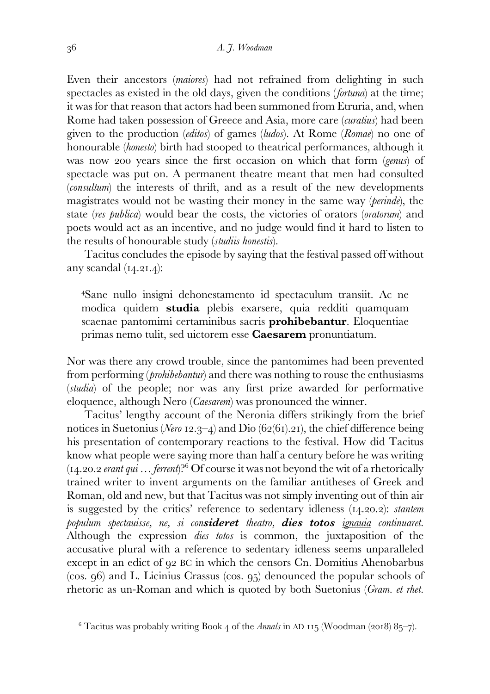Even their ancestors (*maiores*) had not refrained from delighting in such spectacles as existed in the old days, given the conditions (*fortuna*) at the time; it was for that reason that actors had been summoned from Etruria, and, when Rome had taken possession of Greece and Asia, more care (*curatius*) had been given to the production (*editos*) of games (*ludos*). At Rome (*Romae*) no one of honourable (*honesto*) birth had stooped to theatrical performances, although it was now 200 years since the first occasion on which that form (*genus*) of spectacle was put on. A permanent theatre meant that men had consulted (*consultum*) the interests of thrift, and as a result of the new developments magistrates would not be wasting their money in the same way (*perinde*), the state (*res publica*) would bear the costs, the victories of orators (*oratorum*) and poets would act as an incentive, and no judge would find it hard to listen to the results of honourable study (*studiis honestis*).

 Tacitus concludes the episode by saying that the festival passed off without any scandal (14.21.4):

<sup>4</sup>Sane nullo insigni dehonestamento id spectaculum transiit. Ac ne modica quidem **studia** plebis exarsere, quia redditi quamquam scaenae pantomimi certaminibus sacris **prohibebantur**. Eloquentiae primas nemo tulit, sed uictorem esse **Caesarem** pronuntiatum.

Nor was there any crowd trouble, since the pantomimes had been prevented from performing (*prohibebantur*) and there was nothing to rouse the enthusiasms (*studia*) of the people; nor was any first prize awarded for performative eloquence, although Nero (*Caesarem*) was pronounced the winner.

 Tacitus' lengthy account of the Neronia differs strikingly from the brief notices in Suetonius (*Nero* 12.3–4) and Dio (62(61).21), the chief difference being his presentation of contemporary reactions to the festival. How did Tacitus know what people were saying more than half a century before he was writing (14.20.2 *erant qui … ferrent*)?<sup>6</sup> Of course it was not beyond the wit of a rhetorically trained writer to invent arguments on the familiar antitheses of Greek and Roman, old and new, but that Tacitus was not simply inventing out of thin air is suggested by the critics' reference to sedentary idleness (14.20.2): *stantem populum spectauisse, ne, si con***sideret** *theatro,* **dies totos** *ignauia continuaret.*  Although the expression *dies totos* is common, the juxtaposition of the accusative plural with a reference to sedentary idleness seems unparalleled except in an edict of 92 BC in which the censors Cn. Domitius Ahenobarbus (cos. 96) and L. Licinius Crassus (cos. 95) denounced the popular schools of rhetoric as un-Roman and which is quoted by both Suetonius (*Gram. et rhet.* 

<sup>6</sup> Tacitus was probably writing Book 4 of the *Annals* in AD 115 (Woodman (2018) 85–7).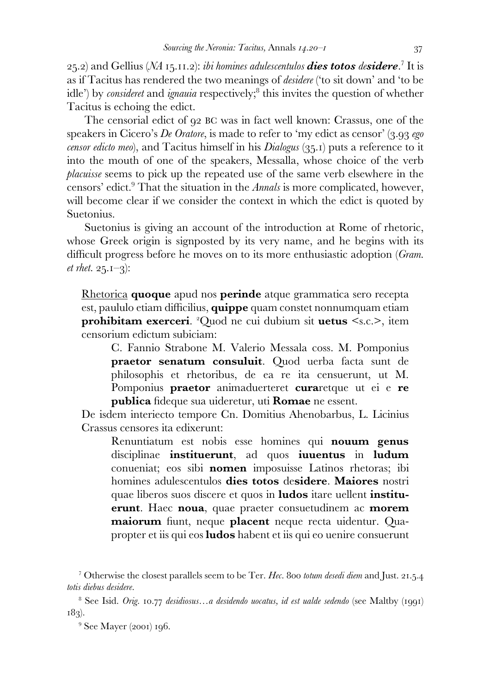25.2) and Gellius (*NA* 15.11.2): *ibi homines adulescentulos* **dies totos** *de***sidere**. 7 It is as if Tacitus has rendered the two meanings of *desidere* ('to sit down' and 'to be idle') by *consideret* and *ignauia* respectively;<sup>8</sup> this invites the question of whether Tacitus is echoing the edict.

 The censorial edict of 92 BC was in fact well known: Crassus, one of the speakers in Cicero's *De Oratore*, is made to refer to 'my edict as censor' (3.93 *ego censor edicto meo*), and Tacitus himself in his *Dialogus* (35.1) puts a reference to it into the mouth of one of the speakers, Messalla, whose choice of the verb *placuisse* seems to pick up the repeated use of the same verb elsewhere in the censors' edict.<sup>9</sup> That the situation in the *Annals* is more complicated, however, will become clear if we consider the context in which the edict is quoted by Suetonius.

 Suetonius is giving an account of the introduction at Rome of rhetoric, whose Greek origin is signposted by its very name, and he begins with its difficult progress before he moves on to its more enthusiastic adoption (*Gram. et rhet.* 25.1–3):

Rhetorica **quoque** apud nos **perinde** atque grammatica sero recepta est, paululo etiam difficilius, **quippe** quam constet nonnumquam etiam **prohibitam exerceri**. <sup>2</sup>Quod ne cui dubium sit **uetus** <s.c.>, item censorium edictum subiciam:

C. Fannio Strabone M. Valerio Messala coss. M. Pomponius **praetor senatum consuluit**. Quod uerba facta sunt de philosophis et rhetoribus, de ea re ita censuerunt, ut M. Pomponius **praetor** animaduerteret **cura**retque ut ei e **re publica** fideque sua uideretur, uti **Romae** ne essent.

De isdem interiecto tempore Cn. Domitius Ahenobarbus, L. Licinius Crassus censores ita edixerunt:

Renuntiatum est nobis esse homines qui **nouum genus** disciplinae **instituerunt**, ad quos **iuuentus** in **ludum** conueniat; eos sibi **nomen** imposuisse Latinos rhetoras; ibi homines adulescentulos **dies totos** de**sidere**. **Maiores** nostri quae liberos suos discere et quos in **ludos** itare uellent **instituerunt**. Haec **noua**, quae praeter consuetudinem ac **morem maiorum** fiunt, neque **placent** neque recta uidentur. Quapropter et iis qui eos **ludos** habent et iis qui eo uenire consuerunt

7 Otherwise the closest parallels seem to be Ter. *Hec.* 800 *totum desedi diem* and Just. 21.5.4 *totis diebus desidere*.

8 See Isid. *Orig.* 10.77 *desidiosus…a desidendo uocatus, id est ualde sedendo* (see Maltby (1991) 183).

<sup>9</sup> See Mayer (2001) 196.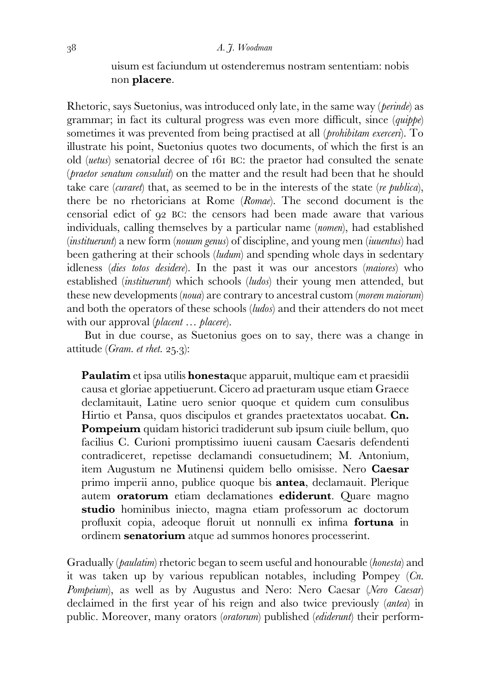uisum est faciundum ut ostenderemus nostram sententiam: nobis non **placere**.

Rhetoric, says Suetonius, was introduced only late, in the same way (*perinde*) as grammar; in fact its cultural progress was even more difficult, since (*quippe*) sometimes it was prevented from being practised at all (*prohibitam exerceri*). To illustrate his point, Suetonius quotes two documents, of which the first is an old (*uetus*) senatorial decree of 161 BC: the praetor had consulted the senate (*praetor senatum consuluit*) on the matter and the result had been that he should take care (*curaret*) that, as seemed to be in the interests of the state (*re publica*), there be no rhetoricians at Rome (*Romae*). The second document is the censorial edict of 92 BC: the censors had been made aware that various individuals, calling themselves by a particular name (*nomen*), had established (*instituerunt*) a new form (*nouum genus*) of discipline, and young men (*iuuentus*) had been gathering at their schools (*ludum*) and spending whole days in sedentary idleness (*dies totos desidere*). In the past it was our ancestors (*maiores*) who established (*instituerunt*) which schools (*ludos*) their young men attended, but these new developments (*noua*) are contrary to ancestral custom (*morem maiorum*) and both the operators of these schools (*ludos*) and their attenders do not meet with our approval (*placent … placere*).

 But in due course, as Suetonius goes on to say, there was a change in attitude (*Gram. et rhet.* 25.3):

**Paulatim** et ipsa utilis **honesta**que apparuit, multique eam et praesidii causa et gloriae appetiuerunt. Cicero ad praeturam usque etiam Graece declamitauit, Latine uero senior quoque et quidem cum consulibus Hirtio et Pansa, quos discipulos et grandes praetextatos uocabat. **Cn. Pompeium** quidam historici tradiderunt sub ipsum ciuile bellum, quo facilius C. Curioni promptissimo iuueni causam Caesaris defendenti contradiceret, repetisse declamandi consuetudinem; M. Antonium, item Augustum ne Mutinensi quidem bello omisisse. Nero **Caesar** primo imperii anno, publice quoque bis **antea**, declamauit. Plerique autem **oratorum** etiam declamationes **ediderunt**. Quare magno **studio** hominibus iniecto, magna etiam professorum ac doctorum profluxit copia, adeoque floruit ut nonnulli ex infima **fortuna** in ordinem **senatorium** atque ad summos honores processerint.

Gradually (*paulatim*) rhetoric began to seem useful and honourable (*honesta*) and it was taken up by various republican notables, including Pompey (*Cn. Pompeium*), as well as by Augustus and Nero: Nero Caesar (*Nero Caesar*) declaimed in the first year of his reign and also twice previously (*antea*) in public. Moreover, many orators (*oratorum*) published (*ediderunt*) their perform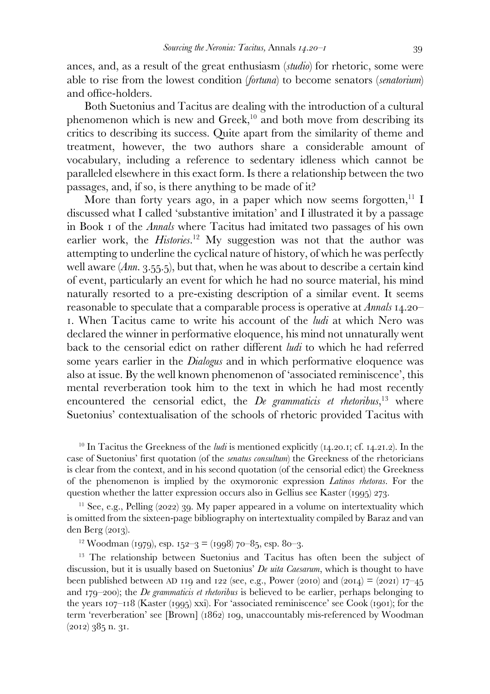ances, and, as a result of the great enthusiasm (*studio*) for rhetoric, some were able to rise from the lowest condition (*fortuna*) to become senators (*senatorium*) and office-holders.

 Both Suetonius and Tacitus are dealing with the introduction of a cultural phenomenon which is new and Greek,<sup>10</sup> and both move from describing its critics to describing its success. Quite apart from the similarity of theme and treatment, however, the two authors share a considerable amount of vocabulary, including a reference to sedentary idleness which cannot be paralleled elsewhere in this exact form. Is there a relationship between the two passages, and, if so, is there anything to be made of it?

More than forty years ago, in a paper which now seems forgotten,  $11$  I discussed what I called 'substantive imitation' and I illustrated it by a passage in Book 1 of the *Annals* where Tacitus had imitated two passages of his own earlier work, the *Histories.*<sup>12</sup> My suggestion was not that the author was attempting to underline the cyclical nature of history, of which he was perfectly well aware (*Ann.* 3.55.5), but that, when he was about to describe a certain kind of event, particularly an event for which he had no source material, his mind naturally resorted to a pre-existing description of a similar event. It seems reasonable to speculate that a comparable process is operative at *Annals* 14.20– 1. When Tacitus came to write his account of the *ludi* at which Nero was declared the winner in performative eloquence, his mind not unnaturally went back to the censorial edict on rather different *ludi* to which he had referred some years earlier in the *Dialogus* and in which performative eloquence was also at issue. By the well known phenomenon of 'associated reminiscence', this mental reverberation took him to the text in which he had most recently encountered the censorial edict, the *De grammaticis et rhetoribus*, <sup>13</sup> where Suetonius' contextualisation of the schools of rhetoric provided Tacitus with

<sup>10</sup> In Tacitus the Greekness of the *ludi* is mentioned explicitly (14.20.1; cf. 14.21.2). In the case of Suetonius' first quotation (of the *senatus consultum*) the Greekness of the rhetoricians is clear from the context, and in his second quotation (of the censorial edict) the Greekness of the phenomenon is implied by the oxymoronic expression *Latinos rhetoras*. For the question whether the latter expression occurs also in Gellius see Kaster (1995) 273.

 $11$  See, e.g., Pelling (2022) 39. My paper appeared in a volume on intertextuality which is omitted from the sixteen-page bibliography on intertextuality compiled by Baraz and van den Berg (2013).

<sup>12</sup> Woodman (1979), esp. 152–3 = (1998) 70–85, esp. 80–3.

<sup>13</sup> The relationship between Suetonius and Tacitus has often been the subject of discussion, but it is usually based on Suetonius' *De uita Caesarum*, which is thought to have been published between AD 119 and 122 (see, e.g., Power (2010) and (2014) = (2021) 17–45 and 179–200); the *De grammaticis et rhetoribus* is believed to be earlier, perhaps belonging to the years 107–118 (Kaster (1995) xxi). For 'associated reminiscence' see Cook (1901); for the term 'reverberation' see [Brown] (1862) 109, unaccountably mis-referenced by Woodman (2012) 385 n. 31.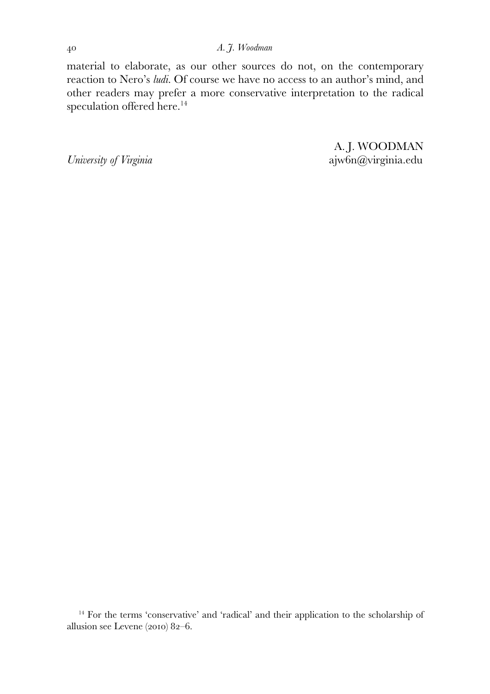material to elaborate, as our other sources do not, on the contemporary reaction to Nero's *ludi.* Of course we have no access to an author's mind, and other readers may prefer a more conservative interpretation to the radical speculation offered here.<sup>14</sup>

A. J. WOODMAN *University of Virginia* ajw6n@virginia.edu

<sup>14</sup> For the terms 'conservative' and 'radical' and their application to the scholarship of allusion see Levene (2010) 82–6.